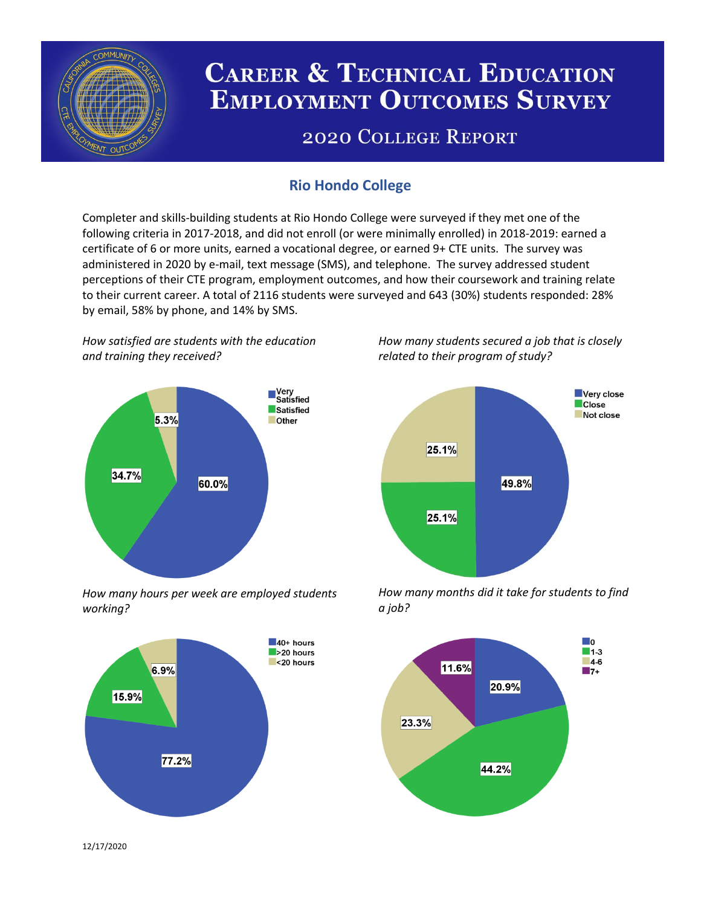

# **CAREER & TECHNICAL EDUCATION EMPLOYMENT OUTCOMES SURVEY**

## **2020 COLLEGE REPORT**

## **Rio Hondo College**

Completer and skills-building students at Rio Hondo College were surveyed if they met one of the following criteria in 2017-2018, and did not enroll (or were minimally enrolled) in 2018-2019: earned a certificate of 6 or more units, earned a vocational degree, or earned 9+ CTE units. The survey was administered in 2020 by e-mail, text message (SMS), and telephone. The survey addressed student perceptions of their CTE program, employment outcomes, and how their coursework and training relate to their current career. A total of 2116 students were surveyed and 643 (30%) students responded: 28% by email, 58% by phone, and 14% by SMS.

*How satisfied are students with the education and training they received?*



*How many hours per week are employed students working?*



*How many students secured a job that is closely related to their program of study?*



*How many months did it take for students to find a job?*



12/17/2020